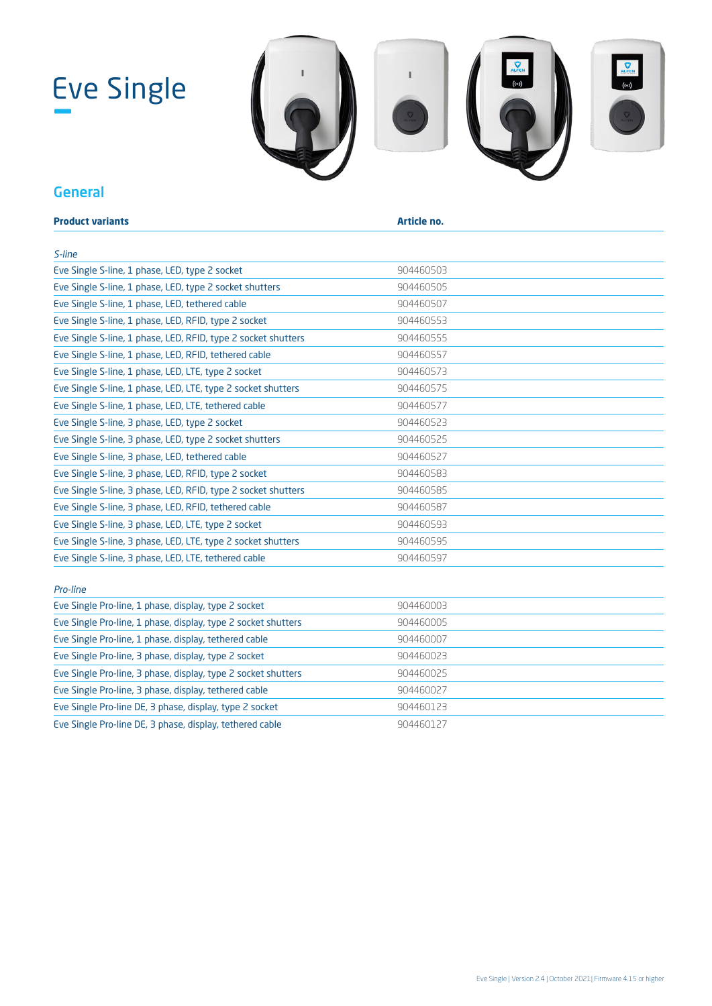



#### **General**

| <b>Product variants</b>                                       | Article no. |  |
|---------------------------------------------------------------|-------------|--|
| S-line                                                        |             |  |
| Eve Single S-line, 1 phase, LED, type 2 socket                | 904460503   |  |
| Eve Single S-line, 1 phase, LED, type 2 socket shutters       | 904460505   |  |
| Eve Single S-line, 1 phase, LED, tethered cable               | 904460507   |  |
| Eve Single S-line, 1 phase, LED, RFID, type 2 socket          | 904460553   |  |
| Eve Single S-line, 1 phase, LED, RFID, type 2 socket shutters | 904460555   |  |
| Eve Single S-line, 1 phase, LED, RFID, tethered cable         | 904460557   |  |
| Eve Single S-line, 1 phase, LED, LTE, type 2 socket           | 904460573   |  |
| Eve Single S-line, 1 phase, LED, LTE, type 2 socket shutters  | 904460575   |  |
| Eve Single S-line, 1 phase, LED, LTE, tethered cable          | 904460577   |  |
| Eve Single S-line, 3 phase, LED, type 2 socket                | 904460523   |  |
| Eve Single S-line, 3 phase, LED, type 2 socket shutters       | 904460525   |  |
| Eve Single S-line, 3 phase, LED, tethered cable               | 904460527   |  |
| Eve Single S-line, 3 phase, LED, RFID, type 2 socket          | 904460583   |  |
| Eve Single S-line, 3 phase, LED, RFID, type 2 socket shutters | 904460585   |  |
| Eve Single S-line, 3 phase, LED, RFID, tethered cable         | 904460587   |  |
| Eve Single S-line, 3 phase, LED, LTE, type 2 socket           | 904460593   |  |
| Eve Single S-line, 3 phase, LED, LTE, type 2 socket shutters  | 904460595   |  |
| Eve Single S-line, 3 phase, LED, LTE, tethered cable          | 904460597   |  |
| Pro-line                                                      |             |  |
| Eve Single Pro-line, 1 phase, display, type 2 socket          | 904460003   |  |
| Eve Single Pro-line, 1 phase, display, type 2 socket shutters | 904460005   |  |
| Eve Single Pro-line, 1 phase, display, tethered cable         | 904460007   |  |
| Eve Single Pro-line, 3 phase, display, type 2 socket          | 904460023   |  |
| Eve Single Pro-line, 3 phase, display, type 2 socket shutters | 904460025   |  |
| Eve Single Pro-line, 3 phase, display, tethered cable         | 904460027   |  |
| Eve Single Pro-line DE, 3 phase, display, type 2 socket       | 904460123   |  |

Eve Single Pro-line DE, 3 phase, display, tethered cable 904460127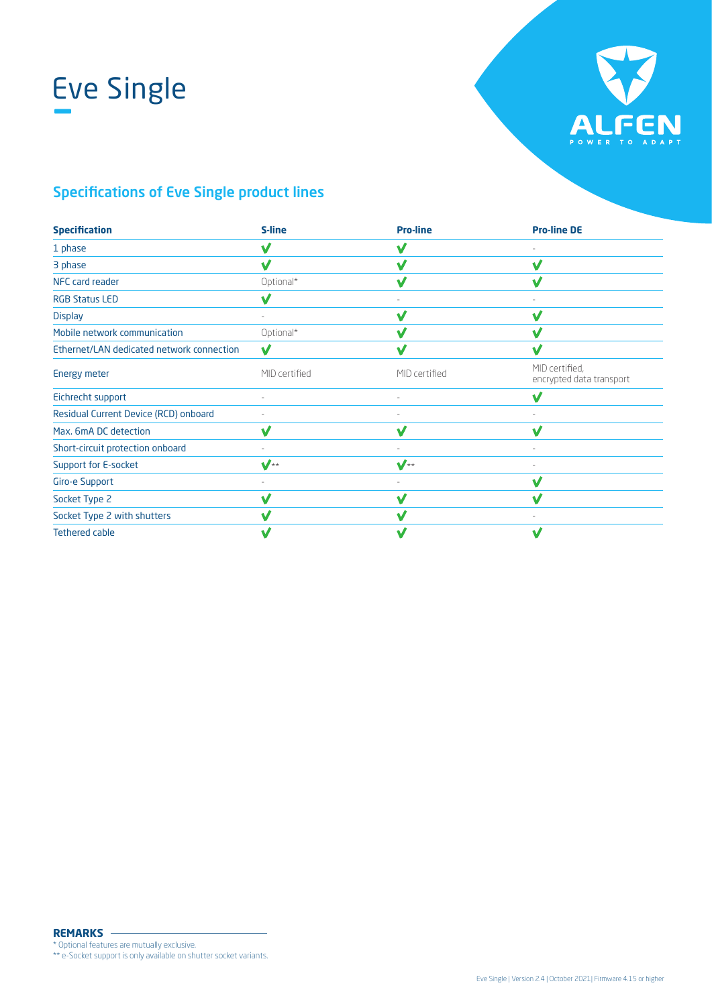

### Specifications of Eve Single product lines

| <b>Specification</b>                      | S-line            | <b>Pro-line</b>          | <b>Pro-line DE</b>                         |
|-------------------------------------------|-------------------|--------------------------|--------------------------------------------|
| 1 phase                                   | V                 | J                        |                                            |
| 3 phase                                   | V                 | ຟ                        |                                            |
| NFC card reader                           | Optional*         | V                        |                                            |
| <b>RGB Status LED</b>                     | V                 | $\overline{\phantom{0}}$ |                                            |
| <b>Display</b>                            |                   | V                        | v                                          |
| Mobile network communication              | Optional*         | v                        |                                            |
| Ethernet/LAN dedicated network connection | V                 | V                        | v                                          |
| <b>Energy meter</b>                       | MID certified     | MID certified            | MID certified,<br>encrypted data transport |
| Eichrecht support                         |                   |                          | V                                          |
| Residual Current Device (RCD) onboard     |                   |                          |                                            |
| Max. 6mA DC detection                     | V                 | V                        | J                                          |
| Short-circuit protection onboard          |                   |                          |                                            |
| Support for E-socket                      | $\mathbf{V}^{**}$ | $\mathbf{V}^{**}$        |                                            |
| Giro-e Support                            |                   |                          |                                            |
| Socket Type 2                             | V                 | V                        | V                                          |
| Socket Type 2 with shutters               | J                 | J                        |                                            |
| <b>Tethered cable</b>                     |                   |                          |                                            |

#### **REMARKS**

\* Optional features are mutually exclusive.

\*\* e-Socket support is only available on shutter socket variants.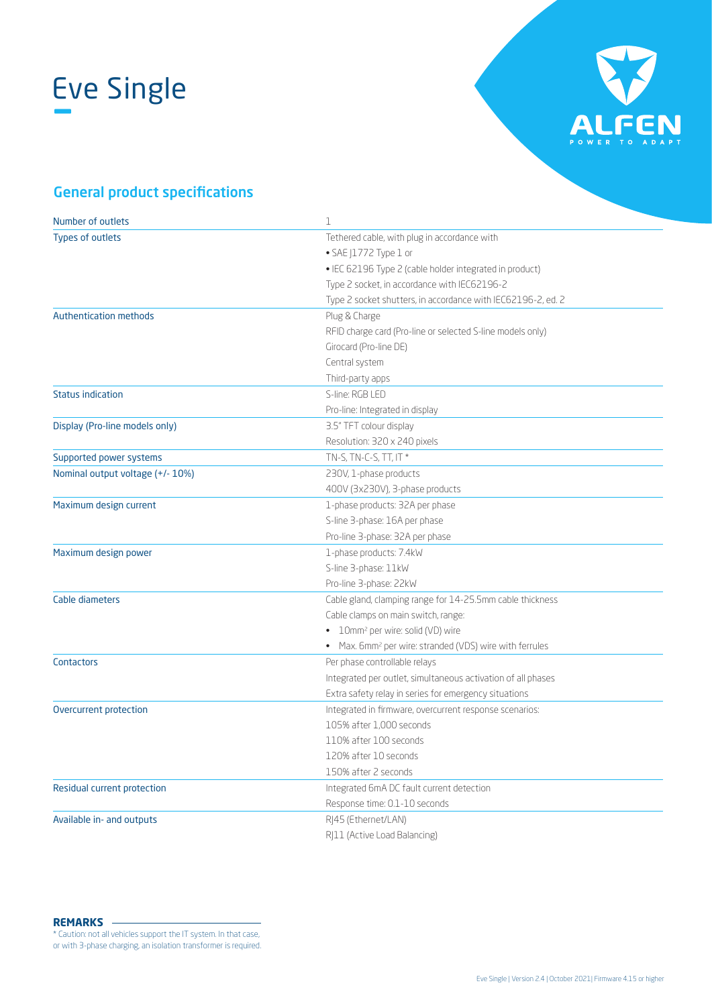

## General product specifications

| Number of outlets                | 1                                                                   |  |
|----------------------------------|---------------------------------------------------------------------|--|
| Types of outlets                 | Tethered cable, with plug in accordance with                        |  |
|                                  | • SAE J1772 Type 1 or                                               |  |
|                                  | • IEC 62196 Type 2 (cable holder integrated in product)             |  |
|                                  | Type 2 socket, in accordance with IEC62196-2                        |  |
|                                  | Type 2 socket shutters, in accordance with IEC62196-2, ed. 2        |  |
| <b>Authentication methods</b>    | Plug & Charge                                                       |  |
|                                  | RFID charge card (Pro-line or selected S-line models only)          |  |
|                                  | Girocard (Pro-line DE)                                              |  |
|                                  | Central system                                                      |  |
|                                  | Third-party apps                                                    |  |
| <b>Status indication</b>         | S-line: RGB LED                                                     |  |
|                                  | Pro-line: Integrated in display                                     |  |
| Display (Pro-line models only)   | 3.5" TFT colour display                                             |  |
|                                  | Resolution: 320 x 240 pixels                                        |  |
| Supported power systems          | TN-S, TN-C-S, TT, IT*                                               |  |
| Nominal output voltage (+/- 10%) | 230V, 1-phase products                                              |  |
|                                  | 400V (3x230V), 3-phase products                                     |  |
| Maximum design current           | 1-phase products: 32A per phase                                     |  |
|                                  | S-line 3-phase: 16A per phase                                       |  |
|                                  | Pro-line 3-phase: 32A per phase                                     |  |
| Maximum design power             | 1-phase products: 7.4kW                                             |  |
|                                  | S-line 3-phase: 11kW                                                |  |
|                                  | Pro-line 3-phase: 22kW                                              |  |
| Cable diameters                  | Cable gland, clamping range for 14-25.5mm cable thickness           |  |
|                                  | Cable clamps on main switch, range:                                 |  |
|                                  | • 10mm <sup>2</sup> per wire: solid (VD) wire                       |  |
|                                  | • Max. 6mm <sup>2</sup> per wire: stranded (VDS) wire with ferrules |  |
| <b>Contactors</b>                | Per phase controllable relays                                       |  |
|                                  | Integrated per outlet, simultaneous activation of all phases        |  |
|                                  | Extra safety relay in series for emergency situations               |  |
| Overcurrent protection           | Integrated in firmware, overcurrent response scenarios:             |  |
|                                  | 105% after 1,000 seconds                                            |  |
|                                  | 110% after 100 seconds                                              |  |
|                                  | 120% after 10 seconds                                               |  |
|                                  | 150% after 2 seconds                                                |  |
| Residual current protection      | Integrated 6mA DC fault current detection                           |  |
|                                  | Response time: 0.1-10 seconds                                       |  |
| Available in- and outputs        | RJ45 (Ethernet/LAN)                                                 |  |
|                                  | RJ11 (Active Load Balancing)                                        |  |

**REMARKS**

\* Caution: not all vehicles support the IT system. In that case, or with 3-phase charging, an isolation transformer is required.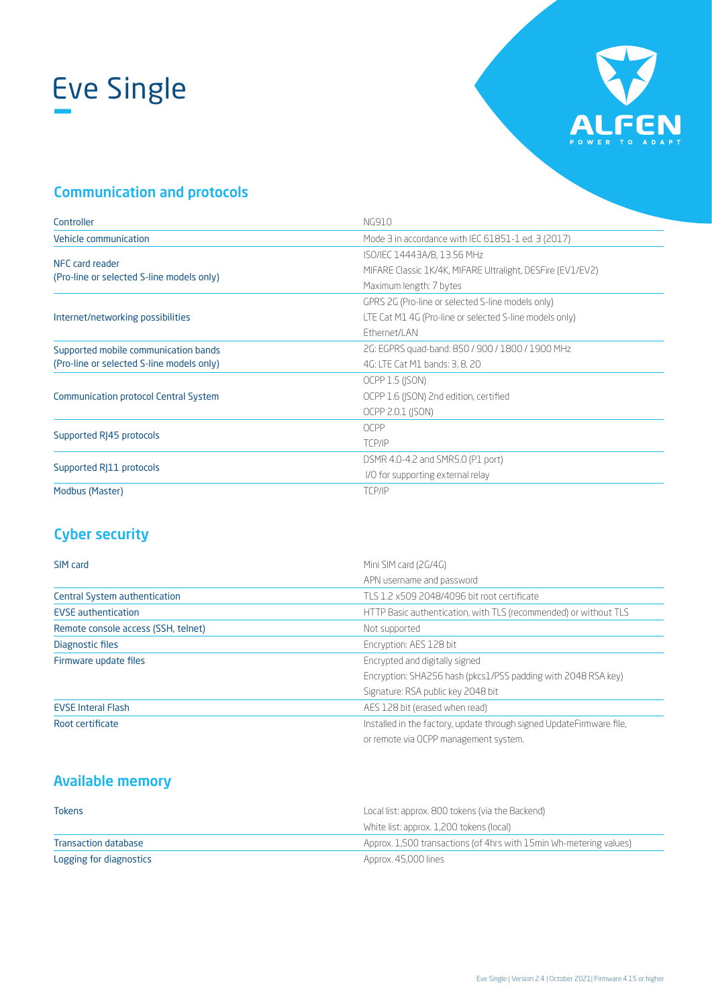

## Communication and protocols

| Controller                                                   | NG910                                                      |  |
|--------------------------------------------------------------|------------------------------------------------------------|--|
| Vehicle communication                                        | Mode 3 in accordance with IEC 61851-1 ed. 3 (2017)         |  |
|                                                              | ISO/IEC 14443A/B, 13.56 MHz                                |  |
| NFC card reader<br>(Pro-line or selected S-line models only) | MIFARE Classic 1K/4K, MIFARE Ultralight, DESFire (EV1/EV2) |  |
|                                                              | Maximum length: 7 bytes                                    |  |
|                                                              | GPRS 2G (Pro-line or selected S-line models only)          |  |
| Internet/networking possibilities                            | LTE Cat M1 4G (Pro-line or selected S-line models only)    |  |
|                                                              | Ethernet/LAN                                               |  |
| Supported mobile communication bands                         | 2G: EGPRS quad-band: 850 / 900 / 1800 / 1900 MHz           |  |
| (Pro-line or selected S-line models only)                    | 4G: LTE Cat M1 bands: 3, 8, 20                             |  |
|                                                              | OCPP 1.5 (ISON)                                            |  |
| <b>Communication protocol Central System</b>                 | OCPP 1.6 (ISON) 2nd edition, certified                     |  |
|                                                              | OCPP 2.0.1 (ISON)                                          |  |
|                                                              | <b>OCPP</b>                                                |  |
| Supported RJ45 protocols                                     | TCP/IP                                                     |  |
|                                                              | DSMR 4.0-4.2 and SMR5.0 (P1 port)                          |  |
| Supported R 11 protocols                                     | I/O for supporting external relay                          |  |
| Modbus (Master)                                              | TCP/IP                                                     |  |

## Cyber security

| SIM card                            | Mini SIM card (2G/4G)                                                |
|-------------------------------------|----------------------------------------------------------------------|
|                                     | APN username and password                                            |
| Central System authentication       | TLS 1.2 x509 2048/4096 bit root certificate                          |
| <b>EVSE</b> authentication          | HTTP Basic authentication, with TLS (recommended) or without TLS     |
| Remote console access (SSH, telnet) | Not supported                                                        |
| Diagnostic files                    | Encryption: AES 128 bit                                              |
| Firmware update files               | Encrypted and digitally signed                                       |
|                                     | Encryption: SHA256 hash (pkcs1/PSS padding with 2048 RSA key)        |
|                                     | Signature: RSA public key 2048 bit                                   |
| <b>EVSE Interal Flash</b>           | AES 128 bit (erased when read)                                       |
| Root certificate                    | Installed in the factory, update through signed UpdateFirmware file, |
|                                     | or remote via OCPP management system.                                |

## Available memory

| <b>Tokens</b>               | Local list: approx. 800 tokens (via the Backend)                   |
|-----------------------------|--------------------------------------------------------------------|
|                             | White list: approx. 1,200 tokens (local)                           |
| <b>Transaction database</b> | Approx. 1,500 transactions (of 4hrs with 15min Wh-metering values) |
| Logging for diagnostics     | Approx. 45,000 lines                                               |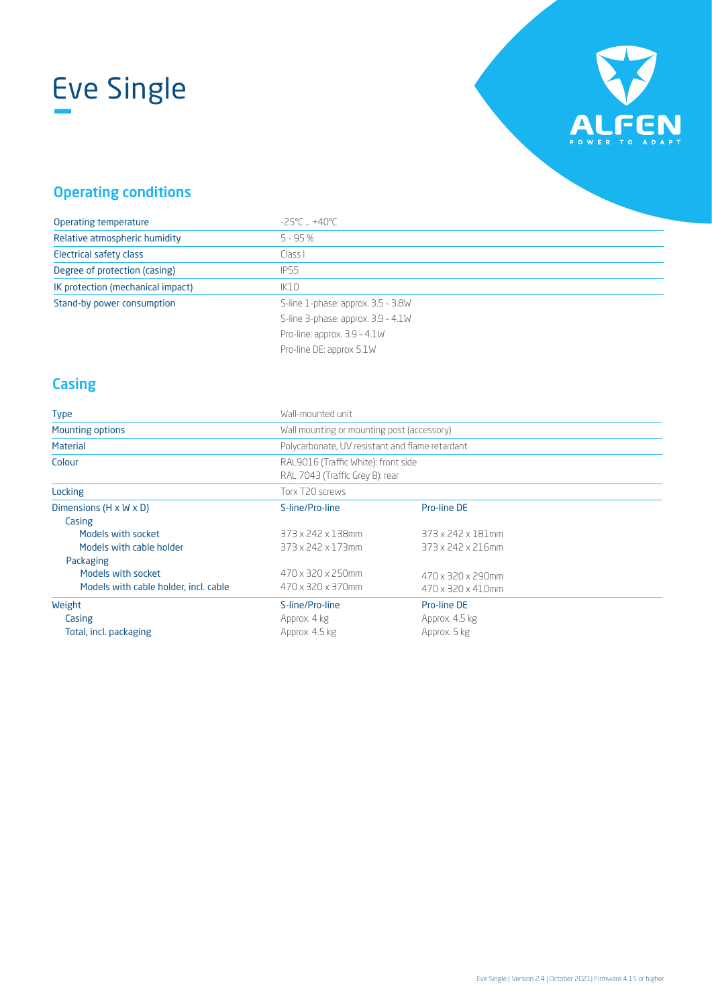

## Operating conditions

| Operating temperature             | -25°C… +40°C                       |
|-----------------------------------|------------------------------------|
| Relative atmospheric humidity     | $5 - 95%$                          |
| <b>Electrical safety class</b>    | Class I                            |
| Degree of protection (casing)     | <b>IP55</b>                        |
| IK protection (mechanical impact) | <b>IK10</b>                        |
| Stand-by power consumption        | S-line 1-phase: approx. 3.5 - 3.8W |
|                                   | S-line 3-phase: approx. 3.9 - 4.1W |
|                                   | Pro-line: approx. $3.9 - 4.1W$     |
|                                   | Pro-line DE: approx 5.1W           |

### Casing

| <b>Type</b>                           | Wall-mounted unit                                                      |                                |  |
|---------------------------------------|------------------------------------------------------------------------|--------------------------------|--|
| Mounting options                      | Wall mounting or mounting post (accessory)                             |                                |  |
| <b>Material</b>                       | Polycarbonate, UV resistant and flame retardant                        |                                |  |
| Colour                                | RAL9016 (Traffic White): front side<br>RAL 7043 (Traffic Grey B): rear |                                |  |
| Locking                               | Torx T20 screws                                                        |                                |  |
| Dimensions ( $H \times W \times D$ )  | S-line/Pro-line                                                        | Pro-line DE                    |  |
| Casing                                |                                                                        |                                |  |
| Models with socket                    | $373 \times 242 \times 138$ mm                                         | $373 \times 242 \times 181$ mm |  |
| Models with cable holder              | 373 x 242 x 173mm                                                      | $373 \times 242 \times 216$ mm |  |
| Packaging                             |                                                                        |                                |  |
| Models with socket                    | 470 x 320 x 250mm                                                      | $470 \times 320 \times 290$ mm |  |
| Models with cable holder, incl. cable | 470 x 320 x 370mm                                                      | 470 x 320 x 410mm              |  |
| Weight                                | S-line/Pro-line                                                        | Pro-line DE                    |  |
| Casing                                | Approx. 4 kg                                                           | Approx. 4.5 kg                 |  |
| Total, incl. packaging                | Approx. 4.5 kg                                                         | Approx. 5 kg                   |  |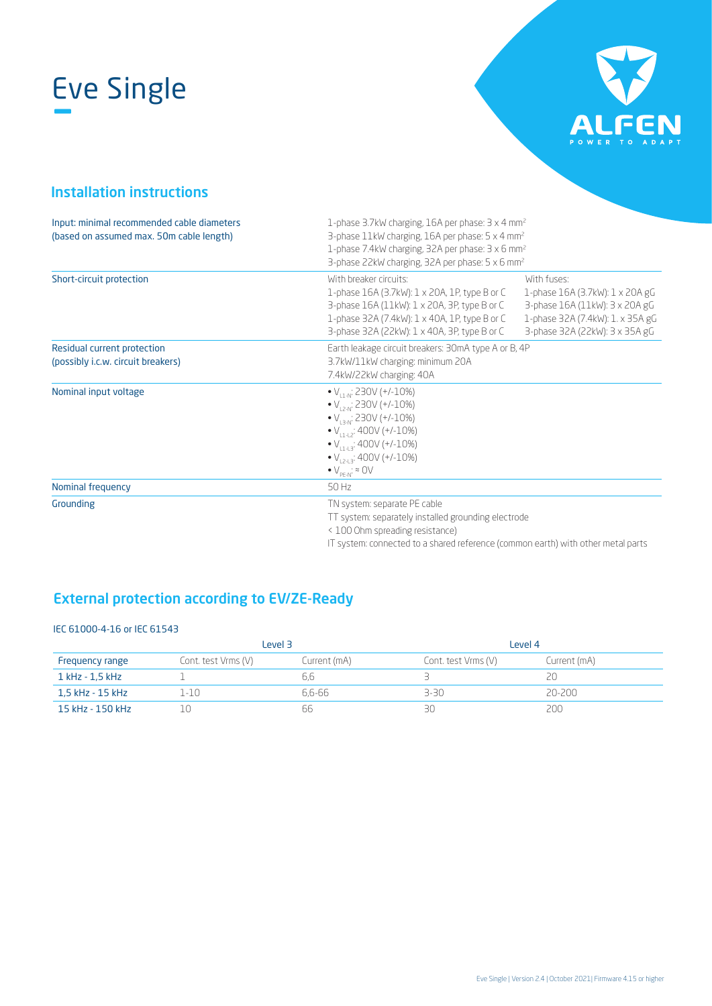



### Installation instructions

| Input: minimal recommended cable diameters<br>(based on assumed max. 50m cable length) | 1-phase 3.7kW charging, 16A per phase: $3 \times 4$ mm <sup>2</sup><br>3-phase 11kW charging, 16A per phase: 5 x 4 mm <sup>2</sup><br>1-phase 7.4kW charging, 32A per phase: $3 \times 6$ mm <sup>2</sup><br>3-phase 22kW charging, 32A per phase: 5 x 6 mm <sup>2</sup>                                                                                                                                   |  |
|----------------------------------------------------------------------------------------|------------------------------------------------------------------------------------------------------------------------------------------------------------------------------------------------------------------------------------------------------------------------------------------------------------------------------------------------------------------------------------------------------------|--|
| Short-circuit protection                                                               | With breaker circuits:<br>With fuses:<br>1-phase $16A$ (3.7kW): $1 \times 20A$ , 1P, type B or C<br>1-phase $16A(3.7kW): 1 \times 20A gG$<br>3-phase 16A (11kW): 1 x 20A, 3P, type B or C<br>3-phase 16A (11kW): 3 x 20A gG<br>1-phase 32A (7.4kW): 1. x 35A gG<br>1-phase 32A (7.4kW): $1 \times 40$ A, 1P, type B or C<br>3-phase 32A (22kW): 1 x 40A, 3P, type B or C<br>3-phase 32A (22kW): 3 x 35A gG |  |
| Residual current protection<br>(possibly i.c.w. circuit breakers)                      | Earth leakage circuit breakers: 30mA type A or B, 4P<br>3.7kW/11kW charging: minimum 20A<br>7.4kW/22kW charging: 40A                                                                                                                                                                                                                                                                                       |  |
| Nominal input voltage                                                                  | • $V_{L1,N}$ : 230V (+/-10%)<br>$\bullet$ V <sub>12-N</sub> : 230V (+/-10%)<br>$\bullet$ V <sub>13-N</sub> : 230V (+/-10%)<br>$\bullet$ V <sub>(1,12</sub> ; 400V (+/-10%)<br>$\bullet$ V <sub>1113</sub> : 400V (+/-10%)<br>$\bullet$ V <sub>12-13</sub> : 400V (+/-10%)<br>$\bullet$ $\bigvee_{\mathsf{PF-N}}$ $\approx$ OV                                                                              |  |
| Nominal frequency                                                                      | 50 Hz                                                                                                                                                                                                                                                                                                                                                                                                      |  |
| Grounding                                                                              | TN system: separate PE cable<br>TT system: separately installed grounding electrode<br>< 100 Ohm spreading resistance)<br>IT system: connected to a shared reference (common earth) with other metal parts                                                                                                                                                                                                 |  |

## External protection according to EV/ZE-Ready

#### IEC 61000-4-16 or IEC 61543

|                  | Level 3             |              | Level 4             |              |
|------------------|---------------------|--------------|---------------------|--------------|
| Frequency range  | Cont. test Vrms (V) | Current (mA) | Cont. test Vrms (V) | Current (mA) |
| 1 kHz - 1.5 kHz  |                     | b.b          |                     |              |
| 1,5 kHz - 15 kHz | 1-10                | 6,6-66       | $3 - 30$            | 20-200       |
| 15 kHz - 150 kHz |                     | bb           | 30                  | 200          |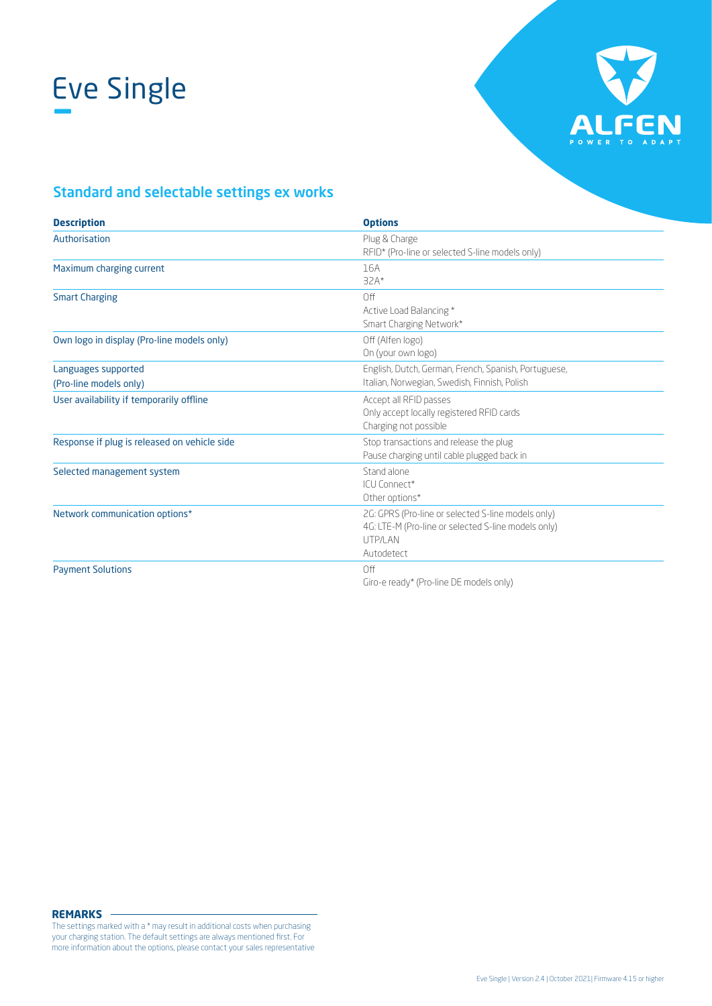

## Standard and selectable settings ex works

| <b>Description</b>                            | <b>Options</b>                                                                                                                     |  |
|-----------------------------------------------|------------------------------------------------------------------------------------------------------------------------------------|--|
| Authorisation                                 | Plug & Charge<br>RFID* (Pro-line or selected S-line models only)                                                                   |  |
| Maximum charging current                      | 16A<br>$32A*$                                                                                                                      |  |
| <b>Smart Charging</b>                         | Off<br>Active Load Balancing *<br>Smart Charging Network*                                                                          |  |
| Own logo in display (Pro-line models only)    | Off (Alfen logo)<br>On (your own logo)                                                                                             |  |
| Languages supported<br>(Pro-line models only) | English, Dutch, German, French, Spanish, Portuguese,<br>Italian, Norwegian, Swedish, Finnish, Polish                               |  |
| User availability if temporarily offline      | Accept all RFID passes<br>Only accept locally registered RFID cards<br>Charging not possible                                       |  |
| Response if plug is released on vehicle side  | Stop transactions and release the plug<br>Pause charging until cable plugged back in                                               |  |
| Selected management system                    | Stand alone<br>ICU Connect*<br>Other options*                                                                                      |  |
| Network communication options*                | 2G: GPRS (Pro-line or selected S-line models only)<br>4G: LTE-M (Pro-line or selected S-line models only)<br>UTP/LAN<br>Autodetect |  |
| <b>Payment Solutions</b>                      | Off<br>Giro-e ready* (Pro-line DE models only)                                                                                     |  |

**REMARKS**

The settings marked with a \* may result in additional costs when purchasing your charging station. The default settings are always mentioned first. For more information about the options, please contact your sales representative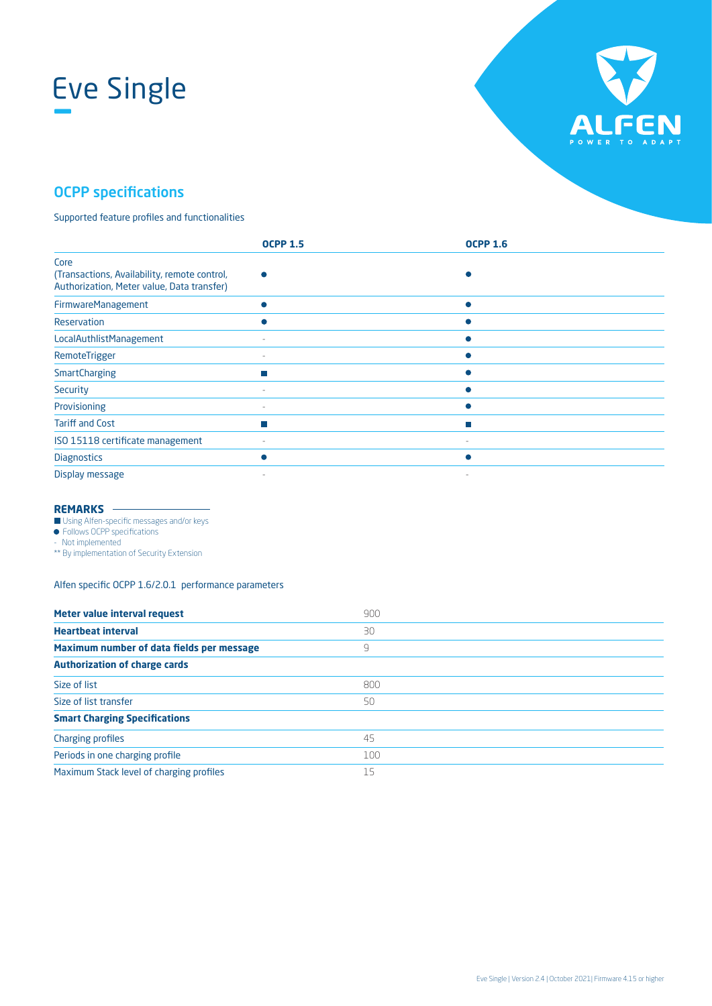

### OCPP specifications

Supported feature profiles and functionalities

|                                                                                                    | <b>OCPP 1.5</b> | <b>OCPP 1.6</b>          |
|----------------------------------------------------------------------------------------------------|-----------------|--------------------------|
| Core<br>(Transactions, Availability, remote control,<br>Authorization, Meter value, Data transfer) |                 |                          |
| <b>FirmwareManagement</b>                                                                          |                 |                          |
| Reservation                                                                                        |                 |                          |
| LocalAuthlistManagement                                                                            |                 |                          |
| RemoteTrigger                                                                                      |                 |                          |
| <b>SmartCharging</b>                                                                               | Ш               |                          |
| Security                                                                                           |                 |                          |
| Provisioning                                                                                       | ۰               |                          |
| <b>Tariff and Cost</b>                                                                             |                 |                          |
| ISO 15118 certificate management                                                                   |                 |                          |
| <b>Diagnostics</b>                                                                                 |                 |                          |
| <b>Display message</b>                                                                             |                 | $\overline{\phantom{a}}$ |

#### **REMARKS**

Using Alfen-specific messages and/or keys

**• Follows OCPP specifications** 

- Not implemented

\*\* By implementation of Security Extension

Alfen specific OCPP 1.6/2.0.1 performance parameters

| Meter value interval request              | 900 |  |
|-------------------------------------------|-----|--|
| <b>Heartbeat interval</b>                 | 30  |  |
| Maximum number of data fields per message | 9   |  |
| <b>Authorization of charge cards</b>      |     |  |
| Size of list                              | 800 |  |
| Size of list transfer                     | 50  |  |
| <b>Smart Charging Specifications</b>      |     |  |
| <b>Charging profiles</b>                  | 45  |  |
| Periods in one charging profile           | 100 |  |
| Maximum Stack level of charging profiles  | 15  |  |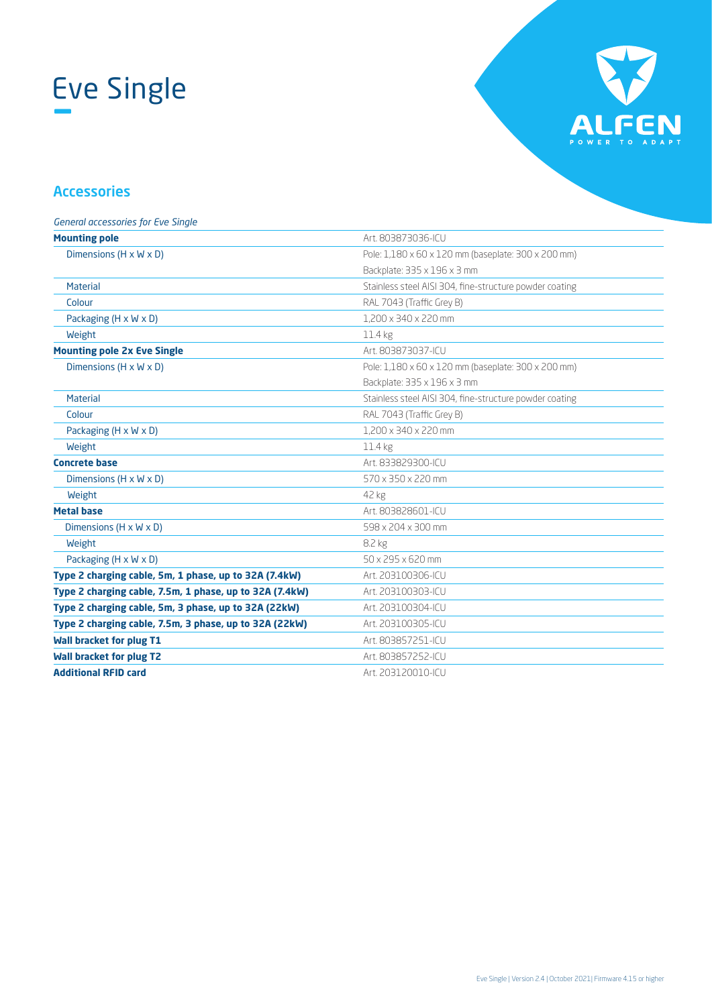

#### Accessories

| <b>General accessories for Eve Single</b>               |                                                         |
|---------------------------------------------------------|---------------------------------------------------------|
| <b>Mounting pole</b>                                    | Art. 803873036-ICU                                      |
| Dimensions ( $H \times W \times D$ )                    | Pole: 1,180 x 60 x 120 mm (baseplate: 300 x 200 mm)     |
|                                                         | Backplate: 335 x 196 x 3 mm                             |
| <b>Material</b>                                         | Stainless steel AISI 304, fine-structure powder coating |
| Colour                                                  | RAL 7043 (Traffic Grey B)                               |
| Packaging $(H \times W \times D)$                       | $1,200 \times 340 \times 220$ mm                        |
| Weight                                                  | 11.4 kg                                                 |
| <b>Mounting pole 2x Eve Single</b>                      | Art. 803873037-ICU                                      |
| Dimensions ( $H \times W \times D$ )                    | Pole: 1,180 x 60 x 120 mm (baseplate: 300 x 200 mm)     |
|                                                         | Backplate: 335 x 196 x 3 mm                             |
| <b>Material</b>                                         | Stainless steel AISI 304, fine-structure powder coating |
| Colour                                                  | RAL 7043 (Traffic Grey B)                               |
| Packaging $(H \times W \times D)$                       | $1,200 \times 340 \times 220$ mm                        |
| Weight                                                  | 11.4 kg                                                 |
| <b>Concrete base</b>                                    | Art. 833829300-ICU                                      |
| Dimensions ( $H \times W \times D$ )                    | 570 x 350 x 220 mm                                      |
| Weight                                                  | 42 kg                                                   |
| <b>Metal base</b>                                       | Art. 803828601-ICU                                      |
| Dimensions ( $H \times W \times D$ )                    | $598 \times 204 \times 300$ mm                          |
| Weight                                                  | 8.2 kg                                                  |
| Packaging $(H \times W \times D)$                       | $50 \times 295 \times 620$ mm                           |
| Type 2 charging cable, 5m, 1 phase, up to 32A (7.4kW)   | Art. 203100306-ICU                                      |
| Type 2 charging cable, 7.5m, 1 phase, up to 32A (7.4kW) | Art. 203100303-ICU                                      |
| Type 2 charging cable, 5m, 3 phase, up to 32A (22kW)    | Art. 203100304-ICU                                      |
| Type 2 charging cable, 7.5m, 3 phase, up to 32A (22kW)  | Art. 203100305-ICU                                      |
| <b>Wall bracket for plug T1</b>                         | Art. 803857251-ICU                                      |
| <b>Wall bracket for plug T2</b>                         | Art. 803857252-ICU                                      |
| <b>Additional RFID card</b>                             | Art. 203120010-ICU                                      |